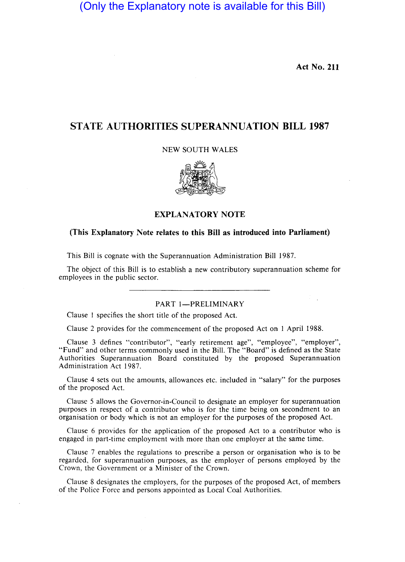(Only the Explanatory note is available for this Bill)

**Act No. 211** 

# **STATE AUTHORITIES SUPERANNUATION BILL 1987**

NEW SOUTH WALES



## **EXPLANATORY NOTE**

# **(This Explanatory Note relates to this Bill as introduced into Parliament)**

This Bill is cognate with the Superannuation Administration Bill 1987.

The object of this Bill is to establish a new contributory superannuation scheme for employees in the public sector.

#### PART I-PRELIMINARY

Clause 1 specifies the short title of the proposed Act.

Clause 2 provides for the commencement of the proposed Act on 1 April 1988.

Clause 3 defines "contributor", "early retirement age", "employee", "employer", "Fund" and other terms commonly used in the Bill. The "Board" is defined as the State Authorities Superannuation Board constituted by the proposed Superannuation Administration Act 1987.

Clause 4 sets out the amounts, allowances etc. included in "salary" for the purposes of the proposed Act.

Clause 5 allows the Governor-in-Council to designate an employer for superannuation purposes in respect of a contributor who is for the time being on secondment to an organisation or body which is not an employer for the purposes of the proposed Act.

Clause 6 provides for the application of the proposed Act to a contributor who is engaged in part-time employment with more than one employer at the same time.

Clause 7 enables the regulations to prescribe a person or organisation who is to be regarded, for superannuation purposes, as the employer of persons employed by the Crown, the Government or a Minister of the Crown.

Clause 8 designates the employers, for the purposes of the proposed Act, of members of the Police Force and persons appointed as Local Coal Authorities.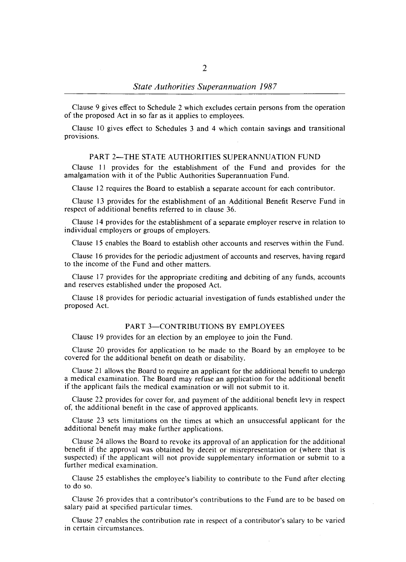Clause 9 gives effect to Schedule 2 which excludes certain persons from the operation of the proposed Act in so far as it applies to employees.

Clause 10 gives effect to Schedules 3 and 4 which contain savings and transitional provisions.

## PART 2-THE STATE AUTHORITIES SUPERANNUATION FUND

Clause **II** provides for the establishment of the Fund and provides for the amalgamation with it of the Public Authorities Superannuation Fund.

Clause 12 requires the Board to establish a separate account for each contributor.

Clause 13 provides for the establishment of an Additional Benefit Reserve Fund in respect of additional benefits referred to in clause 36.

Clause 14 provides for the establishment of a separate employer reserve in relation to individual employers or groups of employers.

Clause IS enables the Board to establish other accounts and reserves within the Fund.

Clause 16 provides for the periodic adjustment of accounts and reserves, having regard to the income of the Fund and other matters.

Clause 17 provides for the appropriate crediting and debiting of any funds, accounts and reserves established under the proposed Act.

Clause 18 provides for periodic actuarial investigation of funds established under the proposed Act.

#### PART 3-CONTRIBUTIONS BY EMPLOYEES

Clause 19 provides for an election by an employee to join the Fund.

Clause 20 provides for application to be made to the Board by an employee to be covered for the additional benefit on death or disability.

Clause 21 allows the Board to require an applicant for the additional benefit to undergo a medical examination. The Board may refuse an application for the additional benefit if the applicant fails the medical examination or will not submit to it.

Clause 22 provides for cover for, and payment of the additional benefit levy in respect of, the additional benefit in the case of approved applicants.

Clause 23 sets limitations on the times at which an unsuccessful applicant for the additional benefit may make further applications.

Clause 24 allows the Board to revoke its approval of an application for the additional benefit if the approval was obtained by deceit or misrepresentation or (where that is suspected) if the applicant will not provide supplementary information or submit to a further medical examination.

Clause 25 establishes the employee's liability to contribute to the Fund after electing to do so.

Clause 26 provides that a contributor's contributions to the Fund are to be based on salary paid at specified particular times.

Clause 27 enables the contribution rate in respect of a contributor's salary to be varied in certain circumstances.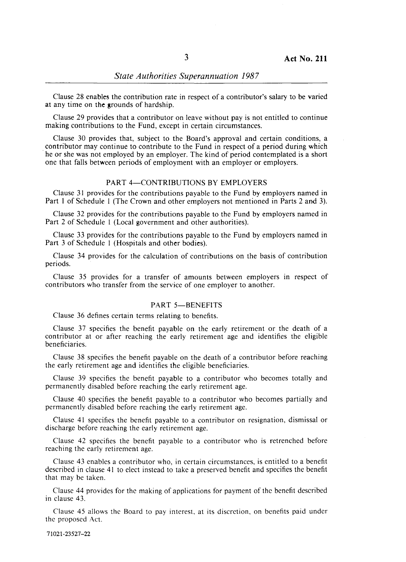Clause 28 enables the contribution rate in respect of a contributor's salary to be varied at any time on the grounds of hardship.

Clause 29 provides that a contributor on leave without pay is not entitled to continue making contributions to the Fund, except in certain circumstances.

Clause 30 provides that, subject to the Board's approval and certain conditions, a contributor may continue to contribute to the Fund in respect of a period during which . he or she was not employed by an employer. The kind of period contemplated is a short one that falls between periods of employment with an employer or employers.

# PART 4-CONTRIBUTIONS BY EMPLOYERS

Clause 31 provides for the contributions payable to the Fund by employers named in Part I of Schedule I (The Crown and other employers not mentioned in Parts 2 and 3).

Clause 32 provides for the contributions payable to the Fund by employers named in Part 2 of Schedule 1 (Local government and other authorities).

Clause 33 provides for the contributions payable to the Fund by employers named in Part 3 of Schedule 1 (Hospitals and other bodies).

Clause 34 provides for the calculation of contributions on the basis of contribution periods.

Clause 35 provides for a transfer of amounts between employers in respect of contributors who transfer from the service of one employer to another.

#### PART 5-BENEFITS

Clause 36 defines certain terms relating to benefits.

Clause 37 specifies the benefit payable on the early retirement or the death of a contributor at or after reaching the early retirement age and identifies the eligible beneficiaries.

Clause 38 specifies the benefit payable on the death of a contributor before reaching the early retirement age and identifies the eligible beneficiaries.

Clause 39 specifies the benefit payable to a contributor who becomes totally and permanently disabled before reaching the early retirement age.

Clause 40 specifies the benefit payable to a contributor who becomes partially and permanently disabled before reaching the early retirement age.

Clause 41 specifies the benefit payable to a contributor on resignation, dismissal or discharge before reaching the early retirement age.

Clause 42 specifies the benefit payable to a contributor who is retrenched before reaching the early retirement age.

Clause 43 enables a contributor who, in certain circumstances, is entitled to a benefit described in clause 41 to elect instead to take a preserved benefit and specifies the benefit that may be taken.

Clause 44 provides for the making of applications for payment of the benefit described in clause 43.

Clause 45 allows the Board to pay interest, at its discretion, on benefits paid under the proposed Act.